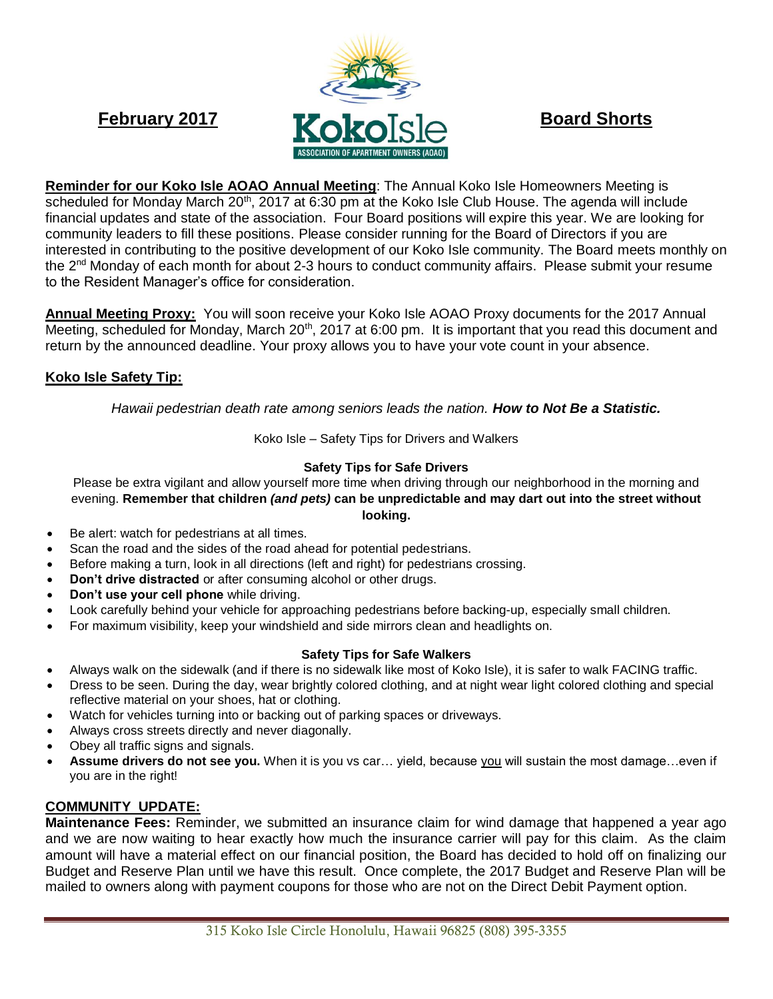

**Reminder for our Koko Isle AOAO Annual Meeting**: The Annual Koko Isle Homeowners Meeting is scheduled for Monday March 20<sup>th</sup>, 2017 at 6:30 pm at the Koko Isle Club House. The agenda will include financial updates and state of the association. Four Board positions will expire this year. We are looking for community leaders to fill these positions. Please consider running for the Board of Directors if you are interested in contributing to the positive development of our Koko Isle community. The Board meets monthly on the 2<sup>nd</sup> Monday of each month for about 2-3 hours to conduct community affairs. Please submit your resume to the Resident Manager's office for consideration.

**Annual Meeting Proxy:** You will soon receive your Koko Isle AOAO Proxy documents for the 2017 Annual Meeting, scheduled for Monday, March 20<sup>th</sup>, 2017 at 6:00 pm. It is important that you read this document and return by the announced deadline. Your proxy allows you to have your vote count in your absence.

# **Koko Isle Safety Tip:**

*Hawaii pedestrian death rate among seniors leads the nation. How to Not Be a Statistic.*

Koko Isle – Safety Tips for Drivers and Walkers

#### **Safety Tips for Safe Drivers**

Please be extra vigilant and allow yourself more time when driving through our neighborhood in the morning and evening. **Remember that children** *(and pets)* **can be unpredictable and may dart out into the street without looking.**

- Be alert: watch for pedestrians at all times.
- Scan the road and the sides of the road ahead for potential pedestrians.
- Before making a turn, look in all directions (left and right) for pedestrians crossing.
- **Don't drive distracted** or after consuming alcohol or other drugs.
- **Don't use your cell phone** while driving.
- Look carefully behind your vehicle for approaching pedestrians before backing-up, especially small children.
- For maximum visibility, keep your windshield and side mirrors clean and headlights on.

#### **Safety Tips for Safe Walkers**

- Always walk on the sidewalk (and if there is no sidewalk like most of Koko Isle), it is safer to walk FACING traffic.
- Dress to be seen. During the day, wear brightly colored clothing, and at night wear light colored clothing and special reflective material on your shoes, hat or clothing.
- Watch for vehicles turning into or backing out of parking spaces or driveways.
- Always cross streets directly and never diagonally.
- Obey all traffic signs and signals.
- **Assume drivers do not see you.** When it is you vs car… yield, because you will sustain the most damage…even if you are in the right!

## **COMMUNITY UPDATE:**

**Maintenance Fees:** Reminder, we submitted an insurance claim for wind damage that happened a year ago and we are now waiting to hear exactly how much the insurance carrier will pay for this claim. As the claim amount will have a material effect on our financial position, the Board has decided to hold off on finalizing our Budget and Reserve Plan until we have this result. Once complete, the 2017 Budget and Reserve Plan will be mailed to owners along with payment coupons for those who are not on the Direct Debit Payment option.